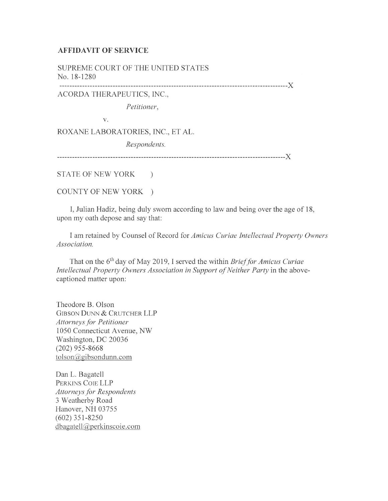## **AFFIDAVIT OF SERVICE**

SUPREME COURT OF THE UNITED STATES No. 18- 1280

------------------------------------------------------------------------------------------)(

ACORDA THERAPEUTICS, INC.,

*Petitioner,* 

V.

ROXANE LABORATORIES, INC., ET AL.

*Respondents.* 

------------------------------------------------------------------------------------------)(

STATE OF NEW YORK )

COUNTY OF NEW YORK )

I, Julian Hadiz, being duly sworn according to law and being over the age of 18, upon my oath depose and say that:

I am retained by Counsel of Record for *Amicus Curiae Intellectual Property Owners Associal ion.* 

That on the 6<sup>th</sup> day of May 2019, I served the within *Brief for Amicus Curiae Intellectual Property Owners Association in Support of Neither Party* in the abovecaptioned matter upon:

Theodore B. Olson GIBSON DUNN & CRUTCHER **LLP**  *Allorneysfor Petitioner*  1050 Connecticut Avenue, NW Washington, DC 20036 (202) 955-8668 tolson@gibsondunn.com

Dan L. Bagatell PERKINS COIE LLP *Attorneys for Respondents*  3 Weatherby Road Hanover, NH 03755 (602) 35 1-8250 dbagatell@perkinscoie.com